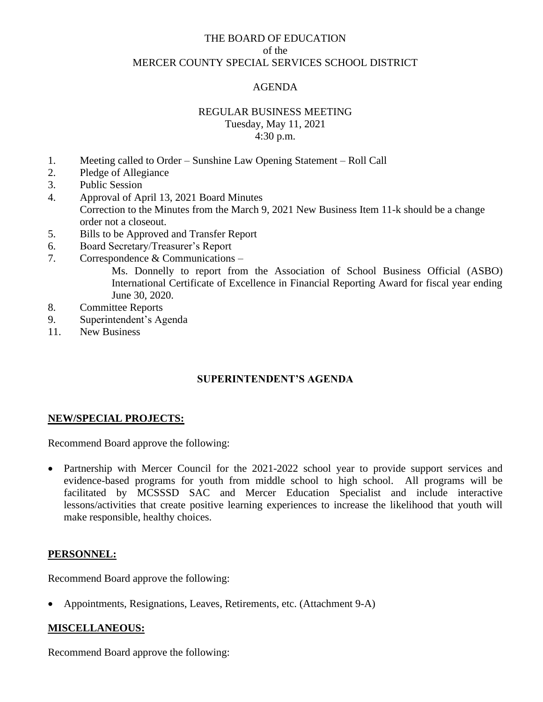## THE BOARD OF EDUCATION of the MERCER COUNTY SPECIAL SERVICES SCHOOL DISTRICT

## AGENDA

#### REGULAR BUSINESS MEETING Tuesday, May 11, 2021

# 4:30 p.m.

- 1. Meeting called to Order Sunshine Law Opening Statement Roll Call
- 2. Pledge of Allegiance
- 3. Public Session
- 4. Approval of April 13, 2021 Board Minutes Correction to the Minutes from the March 9, 2021 New Business Item 11-k should be a change order not a closeout.
- 5. Bills to be Approved and Transfer Report
- 6. Board Secretary/Treasurer's Report
- 7. Correspondence & Communications –

Ms. Donnelly to report from the Association of School Business Official (ASBO) International Certificate of Excellence in Financial Reporting Award for fiscal year ending June 30, 2020.

- 8. Committee Reports
- 9. Superintendent's Agenda
- 11. New Business

## **SUPERINTENDENT'S AGENDA**

### **NEW/SPECIAL PROJECTS:**

Recommend Board approve the following:

• Partnership with Mercer Council for the 2021-2022 school year to provide support services and evidence-based programs for youth from middle school to high school. All programs will be facilitated by MCSSSD SAC and Mercer Education Specialist and include interactive lessons/activities that create positive learning experiences to increase the likelihood that youth will make responsible, healthy choices.

### **PERSONNEL:**

Recommend Board approve the following:

• Appointments, Resignations, Leaves, Retirements, etc. (Attachment 9-A)

### **MISCELLANEOUS:**

Recommend Board approve the following: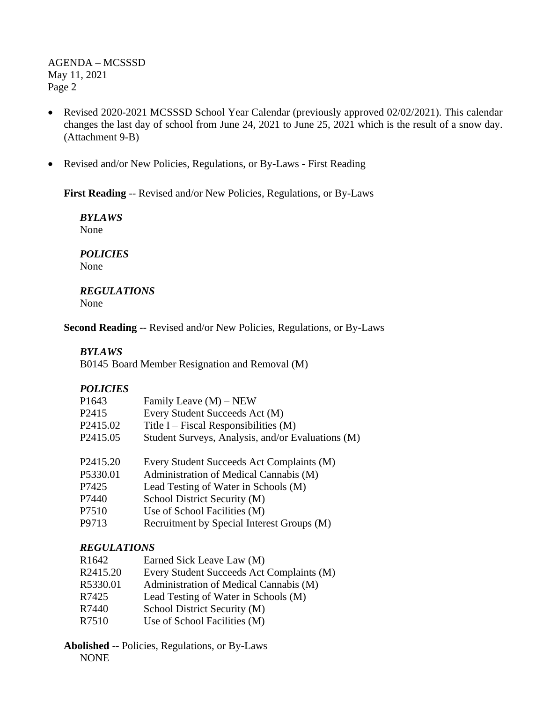AGENDA – MCSSSD May 11, 2021 Page 2

- Revised 2020-2021 MCSSSD School Year Calendar (previously approved 02/02/2021). This calendar changes the last day of school from June 24, 2021 to June 25, 2021 which is the result of a snow day. (Attachment 9-B)
- Revised and/or New Policies, Regulations, or By-Laws First Reading

**First Reading** -- Revised and/or New Policies, Regulations, or By-Laws

*BYLAWS* None

*POLICIES* None

*REGULATIONS* None

**Second Reading** -- Revised and/or New Policies, Regulations, or By-Laws

#### *BYLAWS*

B0145 Board Member Resignation and Removal (M)

#### *POLICIES*

| P <sub>1643</sub>    | Family Leave $(M)$ – NEW                          |
|----------------------|---------------------------------------------------|
| P <sub>2415</sub>    | Every Student Succeeds Act (M)                    |
| P <sub>2415.02</sub> | Title I – Fiscal Responsibilities $(M)$           |
| P <sub>2415.05</sub> | Student Surveys, Analysis, and/or Evaluations (M) |
| P <sub>2415.20</sub> | Every Student Succeeds Act Complaints (M)         |
| P5330.01             | Administration of Medical Cannabis (M)            |
| P7425                | Lead Testing of Water in Schools (M)              |
| P7440                | School District Security (M)                      |
| P7510                | Use of School Facilities (M)                      |
| P9713                | Recruitment by Special Interest Groups (M)        |

### *REGULATIONS*

| R1642    | Earned Sick Leave Law (M)                 |
|----------|-------------------------------------------|
| R2415.20 | Every Student Succeeds Act Complaints (M) |
| R5330.01 | Administration of Medical Cannabis (M)    |
| R7425    | Lead Testing of Water in Schools (M)      |
| R7440    | School District Security (M)              |
| R7510    | Use of School Facilities (M)              |

**Abolished** -- Policies, Regulations, or By-Laws NONE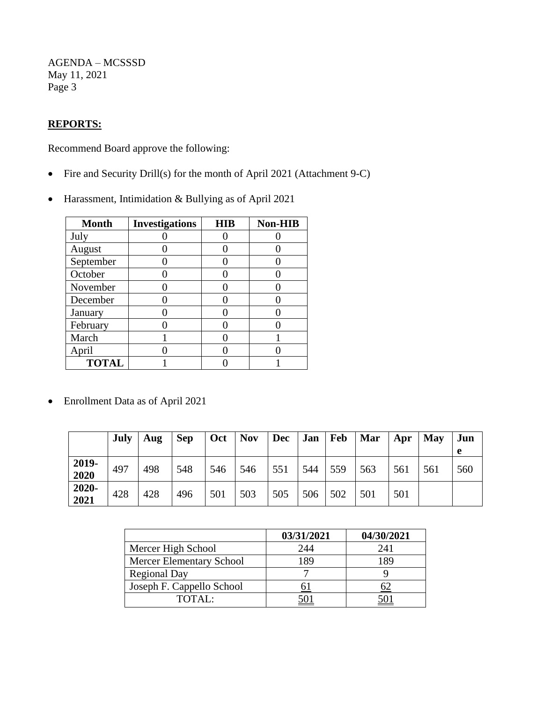AGENDA – MCSSSD May 11, 2021 Page 3

# **REPORTS:**

Recommend Board approve the following:

- Fire and Security Drill(s) for the month of April 2021 (Attachment 9-C)
- Harassment, Intimidation & Bullying as of April 2021

| <b>Month</b> | <b>Investigations</b> | <b>HIB</b> | Non-HIB |
|--------------|-----------------------|------------|---------|
| July         |                       |            |         |
| August       |                       |            |         |
| September    |                       |            |         |
| October      |                       |            |         |
| November     |                       |            |         |
| December     |                       |            |         |
| January      |                       |            |         |
| February     |                       |            |         |
| March        |                       |            |         |
| April        |                       |            |         |
| <b>TOTAL</b> |                       |            |         |

• Enrollment Data as of April 2021

|               | July | Aug | <b>Sep</b> | Oct | <b>Nov</b> | <b>Dec</b> | Jan | Feb | Mar | Apr | <b>May</b> | Jun<br>e |
|---------------|------|-----|------------|-----|------------|------------|-----|-----|-----|-----|------------|----------|
| 2019-<br>2020 | 497  | 498 | 548        | 546 | 546        | 551        | 544 | 559 | 563 | 561 | 561        | 560      |
| 2020-<br>2021 | 428  | 428 | 496        | 501 | 503        | 505        | 506 | 502 | 501 | 501 |            |          |

|                                 | 03/31/2021 | 04/30/2021 |
|---------------------------------|------------|------------|
| Mercer High School              | 244        | 241        |
| <b>Mercer Elementary School</b> | 189        | 189        |
| <b>Regional Day</b>             |            |            |
| Joseph F. Cappello School       |            |            |
| TOTAL:                          |            |            |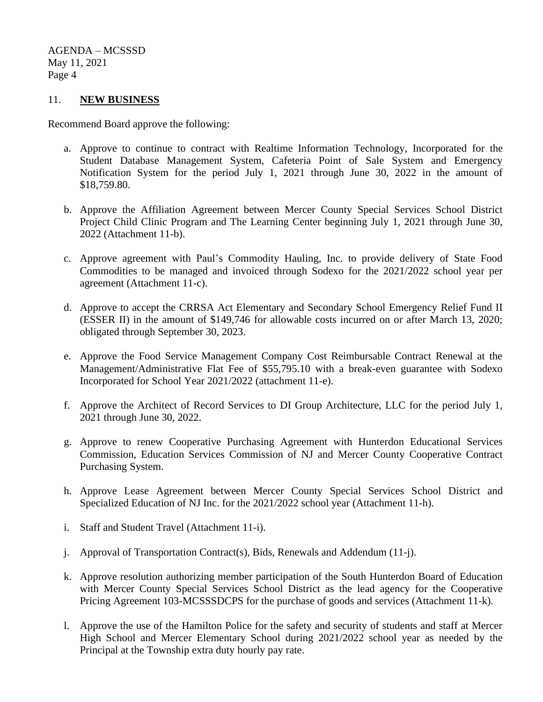AGENDA – MCSSSD May 11, 2021 Page 4

#### 11. **NEW BUSINESS**

Recommend Board approve the following:

- a. Approve to continue to contract with Realtime Information Technology, Incorporated for the Student Database Management System, Cafeteria Point of Sale System and Emergency Notification System for the period July 1, 2021 through June 30, 2022 in the amount of \$18,759.80.
- b. Approve the Affiliation Agreement between Mercer County Special Services School District Project Child Clinic Program and The Learning Center beginning July 1, 2021 through June 30, 2022 (Attachment 11-b).
- c. Approve agreement with Paul's Commodity Hauling, Inc. to provide delivery of State Food Commodities to be managed and invoiced through Sodexo for the 2021/2022 school year per agreement (Attachment 11-c).
- d. Approve to accept the CRRSA Act Elementary and Secondary School Emergency Relief Fund II (ESSER II) in the amount of \$149,746 for allowable costs incurred on or after March 13, 2020; obligated through September 30, 2023.
- e. Approve the Food Service Management Company Cost Reimbursable Contract Renewal at the Management/Administrative Flat Fee of \$55,795.10 with a break-even guarantee with Sodexo Incorporated for School Year 2021/2022 (attachment 11-e).
- f. Approve the Architect of Record Services to DI Group Architecture, LLC for the period July 1, 2021 through June 30, 2022.
- g. Approve to renew Cooperative Purchasing Agreement with Hunterdon Educational Services Commission, Education Services Commission of NJ and Mercer County Cooperative Contract Purchasing System.
- h. Approve Lease Agreement between Mercer County Special Services School District and Specialized Education of NJ Inc. for the 2021/2022 school year (Attachment 11-h).
- i. Staff and Student Travel (Attachment 11-i).
- j. Approval of Transportation Contract(s), Bids, Renewals and Addendum (11-j).
- k. Approve resolution authorizing member participation of the South Hunterdon Board of Education with Mercer County Special Services School District as the lead agency for the Cooperative Pricing Agreement 103-MCSSSDCPS for the purchase of goods and services (Attachment 11-k).
- l. Approve the use of the Hamilton Police for the safety and security of students and staff at Mercer High School and Mercer Elementary School during 2021/2022 school year as needed by the Principal at the Township extra duty hourly pay rate.